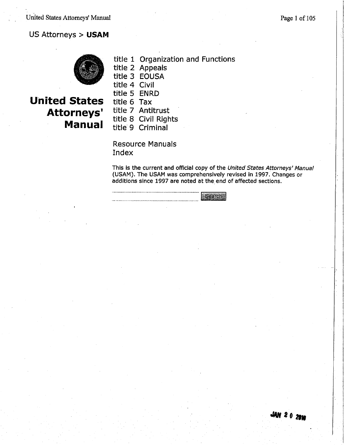#### US Attorneys > USAM



## **United States Attorneys' Manual**

|               | title 1 Organization and Functions |
|---------------|------------------------------------|
|               | title 2 Appeals                    |
|               | title 3 EOUSA                      |
| title 4 Civil |                                    |
| title 5 ENRD  |                                    |
| title 6 Tax   |                                    |

title 7 Antitrust

title 8 Civil Rights

title 9 Criminal

**Resource Manuals** Index

This is the current and official copy of the United States Attorneys' Manual (USAM). The USAM was comprehensively revised in 1997. Changes or additions since 1997 are noted at the end of affected sections.

Search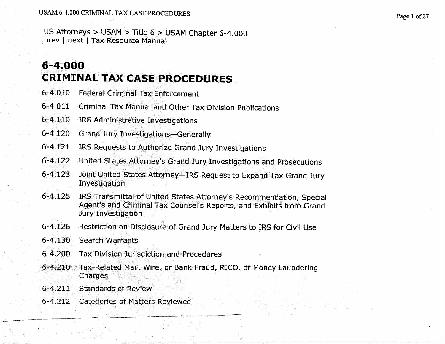US Attorneys > USAM > Title  $6$  > USAM Chapter 6-4.000 prey I next I Tax Resource Manual

# 6-4.000 CRIMINAL TAX CASE PROCEDURES

- 6-4.010 Federal Criminal Tax Enforcement
- 6-4.011 Criminal Tax Manual and Other Tax Division Publications
- 6-4.110 IRS Administrative Investigations
- 6-4.120 Grand Jury Investigations-Generally
- 6-4.121 IRS Requests to Authorize Grand Jury Investigations
- 6-4.122 United States Attorney's Grand Jury Investigations and Prosecutions
- 6-4.123 Joint United States Attorney-IRS Request to Expand Tax Grand Jury Investigation
- 6-4.125 IRS Transmittal of United States Attorney's Recommendation, Special Agent's and Criminal Tax Counsel's Reports, and Exhibits from Grand Jury Investigation
- 6-4.126 Restriction on Disclosure of Grand Jury Matters to IRS for Civil Use
- 6-4.130 Search Warrants
- 6"'4.200 Tax Division Jurisdiction and Procedures
- 6-4,210 Tax-Related Mail, Wire, or Bank Fraud, RICO, or Money Laundering **Charges**
- 6-4.211 Standards of Review
- 6-4.212 Categories of Matters Reviewed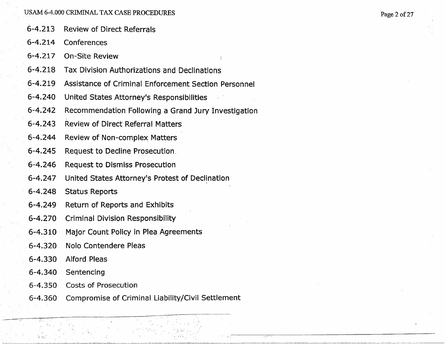- 6-4.213 Review of Direct Referrals
- 6-4.214 Conferences

6-4.217 On-Site Review

- 6-4.218 Tax DivisIon Authorizations and Declinations
- 6-4.219 Assistance of Criminal Enforcement Section Personnel
- 6-4.240 United States Attorney's Responsibilties
- 6-4.242 Recommendation Following a Grand Jury Investigation
- 6-4.243 Review of Direct Referral Matters
- 6-4.244 Review of Non-complex Matters
- 6-4.245 Request to Decline Prosecution.
- 6-4.246 Request to Dismiss Prosecution
- 6-4.247 United States Attorney's Protest of Declination
- 6-4.248 Status Reports
- 6-4.249 Return of Reports and Exhibits
- 6-4.270 Criminal Division Responsibility
- 6-4.310 Major Count Policy in Plea Agreements
- 6-4.320 Nolo Contendere Pleas
- 6-4.330 Alford Pleas
- 6-4.340 Sentencing

~,,-"''''-'~'-'":::-'''"''"''''~''''.''-"~7~---'-'~-''""''':.~

- 6-4.350 Costs of Prosecution
- 6-4.360 Compromise of Criminal Liability/Civil Settlement

~.\_\_\_.~.\_~\_\_\_\_\_~\_.\_\_.\_---'"~---.7-".~'.\_-\_..'-"~~-\_.\_~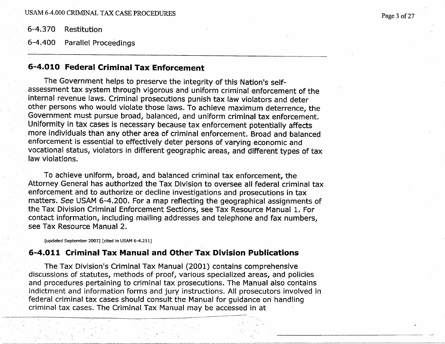6-4;370 Restitution

6-4.400 Parallel Proceedings

### 6;.4.010 Federal Criminal Tax Enforcement

The Government helps to preserve the integrity of this Nation's selfassessment tax system through vigorous and uniform criminal enforcement of the internal revenue laws. Criminal prosecutions punish tax law violators and deter other persons who would violate those laws. To achieve maximum deterrence, the Government must pursue broad, balanced, and uniform criminal tax enforcement. Uniformity in tax cases is necessary because tax enforcement potentially affects more individuals than any other area of criminal enforcement. Broad and balanced enforcement is essential to effectively deter persons of varying economic and vocational status, violators in different geographic areas, and different types of tax law violations.

TO achieve uniform, broad, and balanced criminal tax enforcement, the Attorney General has authorized the Tax Division to oversee all federal criminal tax enforcement and to authorize or decline investigations and prosecutions in tax matters. See USAM 6-4.200. For a map reflecting the geographical assignments of the Tax Division Criminal Enforcement Sections, see Tax Resource Manual 1. For contact information, including mailing addresses and telephone and fax numbers, see Tax Resource Manual 2.

(updated September 2007) (cited in USAM 6-4.211)

#### 6-4.011 Criminal Tax Manual and Other Tax Division Publications

The Tax Division's Criminal Tax Manual (2001) contains comprehensive discussions of statutes, methods of proof, various specialized areas, and policies and procedures pertaining to criminal tax prosecutions. The Manual also contains indictment and information forms and jury instructions. All prosecutors involved in federal criminal tax cases should consult the Manual for guidance on handling criminal tax cases. The Criminal Tax Manual may be accessed in at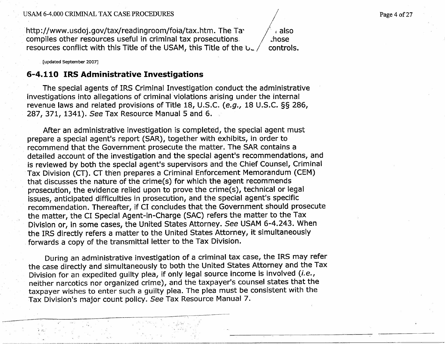http://www.usdoj.gov/tax/readingroom/foia/tax.htm. The Tacompiles other resources useful in criminal tax prosecutions, resources conflict with this Title of the USAM, this Title of the  $b$ . / also .:hose

controls.

(updated September 2007)

"""",,~-,,"'''-''.''''''''''.''''--"-''~- . .

 $\cdot$  :

#### 6-4.110 IRS Administrative Investigations

The special agents of IRS Criminal Investigation conduct the administrative investigations into allegations of criminal violations arising under the internal revenue laws and related provisions of Title 18, U.S.C. (e.g., 18 U.S.C. §§ 286, 287, 371, 1341). See Tax Resource Manual 5 and 6. '

After an administrative investigation is completed, the special agent must prepare a special agent's report (SAR), together with exhibits, in order to recommend that the Government prosecute the matter. The SAR contains a detailed account of the investigation and the special agent's recommendations, and is reviewed by both the special agent's supervisors and the Chief Counsel, Criminal Tax Division (CT). CT then prepares a Criminal Enforcement Memorandum (CEM) that discusses the nature of the crime(s) for which the agent recommends prosecution, the evidence relied upon to prove the crime(s), technical or legal issues, anticipated difficulties in prosecution, and the special agent's specific recommendation. Thereafter, if CI concludes that the Government should prosecute the matter, the CI Special Agent-in-Charge (SAC) refers the matter to the Tax Division or, in some cases, the United States Attorney. See USAM 6-4.243. When the IRS directly refers a matter to the United States Attorney, it simultaneously forwards a copy of the transmittal letter to the Tax Division.

During an administrative investigation of a criminal tax case, the IRS may refer the case directly and simultaneously to both the United States Attorney and the Tax Division for an expedited guilty plea, if only legal source income is involved (i.e., neither narcotics nor organized crime), and the taxpayer's counsel states that the taxpayer wishes to enter such a guilty plea. The plea must be consistent with the Tax Division's major count policy. See Tax Resource Manual 7.

. . "'-

-~-,-----~\_.\_----:-'-:-~~':------'-'-------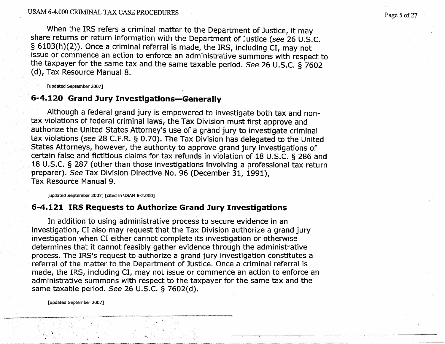When the IRS refers a criminal matter to the Department of Justice, it may share returns or return information with the Department of Justice (see 26 U.S.C. § 6103(h)(2)). Once a criminal referral is made, the IRS, including CI, may not issue or commence an action to enforce an administrative summons with respect to the taxpayer for the same tax and the same taxable period. See 26 U.S.C. § 7602 Cd), Tax Resource Manual 8.

(updated September 2007)

#### 6-4.120 Grand Jury Investigations-Generally

Although a federal grand jury is empowered to investigate both tax and nontax violations of federal criminal laws, the Tax Division must first approve and authorize the United States Attorney's use of a grand jury to investigate criminal tax violations (see 28 C.F.R. § 0.70). The Tax Division has delegated to the United States Attorneys, however, the authority to approve grand jury investigations of certain false and fictitious claims for tax refunds in violation of 18 U.S.C. § 286 and 18 U.S.C. § 287 (other than those investigations involving a professional tax return preparer). See Tax Division Directive No. 96 (December 31, 1991), Tax Resource Manual 9.

(updated September 2007) (cited in USAM 6-2.000)

'"",..,.,-..--"".....~.."..\_-------,..---'--------\_.\_-'~------~~~\_.-----------\_.,--~.,---

#### 6-4.121 IRS Requests to' Authorize Grand Jury Investigations

In addition to using administrative process to secure evidence in an investigation, CI also may request that the Tax Division authorize a grand jury investigation when CI either cannot complete its investigation or otherwise determines that it cannot feasibly gather evidence through the administrative process. The IRS's request to authorize a grand jury investigation constitutes a referral of the matter to the Department of Justice. Once a criminal referral is made, the IRS, including CI, may not issue or commence an action to enforce an administrative summons with respect to the taxpayer for the same tax and the same taxable period. See 26 U.S.C. § 7602(d).

(updated September 2007)

i ,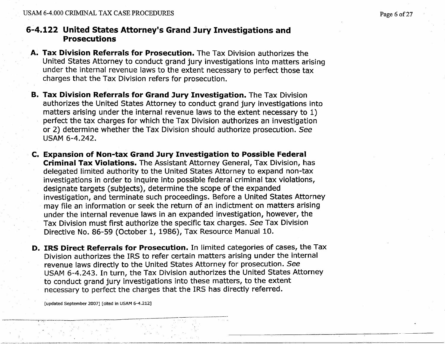#### 6-4.122 United States Attorney's Grand Jury Investigations and Prosecutions

- A. Tax Division Referrals for Prosecution. The Tax Division authorizes the United States Attorney to conduct grand jury investigations into matters arising under the internal revenue laws to the extent necessary to perfect those tax charges that the Tax Division refers for prosecution.
- B. Tax Division Referrals for Grand Jury Investigation. The Tax Division authorizes the United States Attorney to conduct grand jury investigations into matters arising under the internal revenue laws to the extent necessary to 1) perfect the tax charges for which the Tax Division authorizes an investigation or 2) determine whether the Tax Division should authorize prosecution. See USAM 6-4.242.
- C. Expansion of Non-tax Grand Jury Investigation to Possible Federal Criminal Tax Violations. The Assistant Attorney General, Tax Division, has delegated limited authority to the United States Attorney to expand non-tax investigations in order to inquire into possible federal criminal tax violations, designate targets (subjects), determine the scope of the expanded investigation, and terminate such proceedings. Before a United States Attorney may fie an information or seek the return of an indictment on matters arising under the internal revenue laws in an expanded investigation, however, the Tax Division must first authorize the specific tax charges. See Tax Division Directive No. 86-59 (October 1, 1986), Tax Resource Manual 10.
- D. IRS Direct Referrals for Prosecution. In limited categories of cases, the Tax Division authorizes the IRS to refer certain matters arising under the internal revenue laws directly to the United States Attorney for prosecution. See USAM 6-4.243. In turn, the Tax Division authorizes the United States Attorney to conduct grand jury investigations into these matters, to the extent necessary to perfect the charges that the IRS has directly referred.

[updated September 2007] [cited in USAM 6-4.212]

..\_"-'~..--\_..\_--~~-'\_...,-,-.\_--\_....~ --------~-:..~---~-----\_..~--~\_.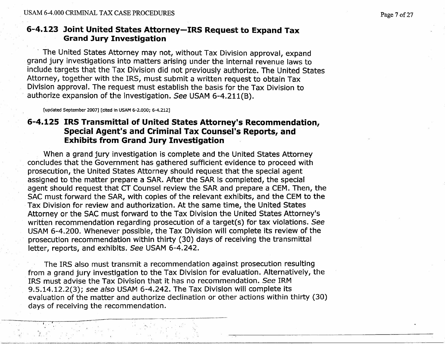#### 6-4.123 Joint United States Attorney-IRS Request to Expand Tax Grand Jury Investigation

, The United States Attorney may not, without Tax Division approval, expand grand jury investigations into matters arising under the internal revenue laws to include targets that the Tax Division did not previously authorize. The United States Attorney, together with the IRS, must submit a written request to obtain Tax Division approval. The request must establish the basis for the Tax Division to authorize expansion of the investigation. See USAM 6-4.211(B).

(updated September 2007) (cited in USAM 6-2.000; 6-4.212)

 $\mathbb{Z}^n$  is the state of  $\mathbb{Z}^n$  in  $\mathbb{Z}^n$  in  $\mathbb{Z}^n$  is the state of  $\mathbb{Z}^n$ 

#### 6-4.125 IRS Transmittal of United States Attorney's Recommendation, Special Agent's and Criminal Tax Counsel's Reports, and Exhibits from Grand Jury Investigation

When a grand jury investigation is complete and the United States Attorney concludes that the Government has gathered sufficient evidence to proceed with prosecution, the United States Attorney should request that the special agent assigned to the matter prepare a SAR. After the SAR is completed, the special agent should request that CT Counsel review the SAR and prepare a CEM. Then, the SAC must forward the SAR, with copies of the relevant exhibits, and the CEM to the Tax Division for review and authorization. At the same time, the United States Attorney or the SAC must forward to the Tax Division the United States Attorney's written recommendation regarding prosecution of a target(s) for tax violations. See USAM 6-4.200. Whenever possible, the Tax Division will complete its review of the prosecution recommendation within thirty (30) days of receiving the transmittal letter, reports, and exhibits. See USAM 6-4.242.

The IRS also must transmit a recommendation against prosecution resulting from a grand jury investigation to the Tax Division for evaluation. Alternatively, the IRS must advise the Tax Division that it has no recommendation. See IRM 9.5.14.12.2(3); see also USAM 6-4.242. The Tax Division will complete its evaluation of the matter and authorize declination or other actions within thirty (30) days of receiving the recommendation.